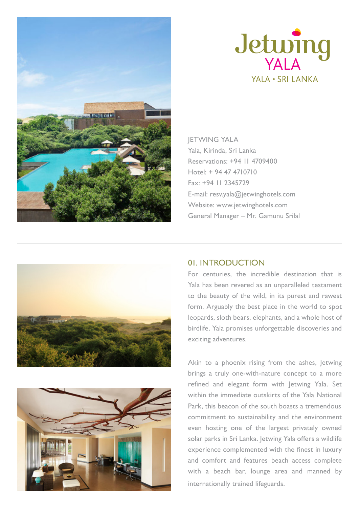



**IETWING YALA** Yala, Kirinda, Sri Lanka Reservations: +94 11 4709400 Hotel: + 94 47 4710710 Fax: +94 11 2345729 E-mail: resv.yala@jetwinghotels.com Website: www.jetwinghotels.com General Manager – Mr. Gamunu Srilal





## 01. INTRODUCTION

For centuries, the incredible destination that is Yala has been revered as an unparalleled testament to the beauty of the wild, in its purest and rawest form. Arguably the best place in the world to spot leopards, sloth bears, elephants, and a whole host of birdlife, Yala promises unforgettable discoveries and exciting adventures.

Akin to a phoenix rising from the ashes, Jetwing brings a truly one-with-nature concept to a more refined and elegant form with Jetwing Yala. Set within the immediate outskirts of the Yala National Park, this beacon of the south boasts a tremendous commitment to sustainability and the environment even hosting one of the largest privately owned solar parks in Sri Lanka. Jetwing Yala offers a wildlife experience complemented with the finest in luxury and comfort and features beach access complete with a beach bar, lounge area and manned by internationally trained lifeguards.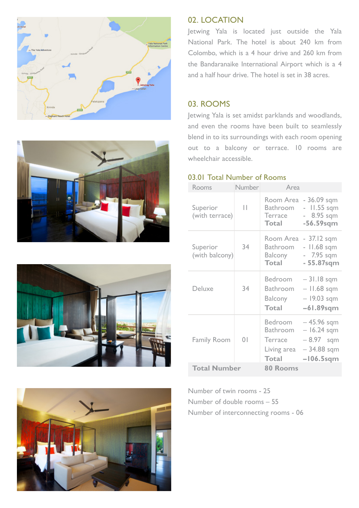







## 02. LOCATION

Jetwing Yala is located just outside the Yala National Park. The hotel is about 240 km from Colombo, which is a 4 hour drive and 260 km from the Bandaranaike International Airport which is a 4 and a half hour drive. The hotel is set in 38 acres.

## 03. ROOMS

Jetwing Yala is set amidst parklands and woodlands, and even the rooms have been built to seamlessly blend in to its surroundings with each room opening out to a balcony or terrace. 10 rooms are wheelchair accessible.

### 03.01 Total Number of Rooms

| Rooms                      | Number         | Area                                                                 |                                                                       |
|----------------------------|----------------|----------------------------------------------------------------------|-----------------------------------------------------------------------|
| Superior<br>(with terrace) | н              | Room Area<br><b>Bathroom</b><br>Terrace<br><b>Total</b>              | $-36.09$ sqm<br>$-$ 11.55 sqm<br>- 8.95 sqm<br>$-56.59$ sqm           |
| Superior<br>(with balcony) | 34             | Room Area<br><b>Bathroom</b><br>Balcony<br><b>Total</b>              | - 37.12 sqm<br>- 11.68 sqm<br>- 7.95 sqm<br>- 55.87sqm                |
| <b>Deluxe</b>              | 34             | Bedroom<br>Bathroom<br><b>Balcony</b><br><b>Total</b>                | – 31.18 sqm<br>– 11.68 sqm<br>$-19.03$ sqm<br>$-61.89$ sqm            |
| <b>Family Room</b>         | $\overline{0}$ | Bedroom<br><b>Bathroom</b><br>Terrace<br>Living area<br><b>Total</b> | – 45.96 sqm<br>$-16.24$ sqm<br>– 8.97 sqm<br>- 34.88 sqm<br>–106.5sqm |
| <b>Total Number</b>        |                | 80 Rooms                                                             |                                                                       |

Number of twin rooms - 25 Number of double rooms – 55 Number of interconnecting rooms - 06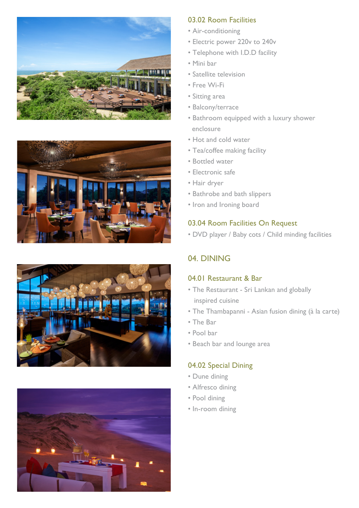







### 03.02 Room Facilities

- Air-conditioning
- Electric power 220v to 240v
- Telephone with I.D.D facility
- Mini bar
- Satellite television
- Free Wi-Fi
- Sitting area
- Balcony/terrace
- Bathroom equipped with a luxury shower enclosure
- Hot and cold water
- Tea/coffee making facility
- Bottled water
- Electronic safe
- Hair dryer
- Bathrobe and bath slippers
- Iron and Ironing board

# 03.04 Room Facilities On Request

• DVD player / Baby cots / Child minding facilities

# 04. DINING

## 04.01 Restaurant & Bar

- The Restaurant Sri Lankan and globally inspired cuisine
- The Thambapanni Asian fusion dining (à la carte)
- The Bar
- Pool bar
- Beach bar and lounge area

# 04.02 Special Dining

- Dune dining
- Alfresco dining
- Pool dining
- In-room dining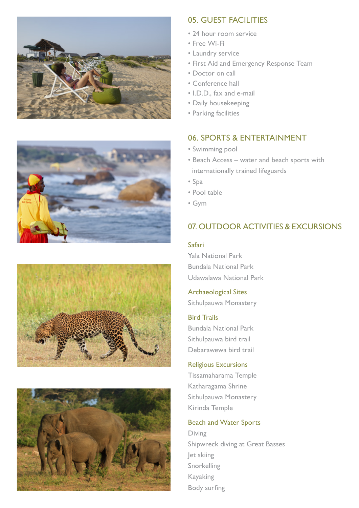







# 05. GUEST FACILITIES

- 24 hour room service
- Free Wi-Fi
- Laundry service
- First Aid and Emergency Response Team
- Doctor on call
- Conference hall
- I.D.D., fax and e-mail
- Daily housekeeping
- Parking facilities

# 06. SPORTS & ENTERTAINMENT

- Swimming pool
- Beach Access water and beach sports with internationally trained lifeguards
- Spa
- Pool table
- Gym

# 07. OUTDOOR ACTIVITIES & EXCURSIONS

#### Safari

Yala National Park Bundala National Park Udawalawa National Park

### Archaeological Sites

Sithulpauwa Monastery

#### Bird Trails

Bundala National Park Sithulpauwa bird trail Debarawewa bird trail

#### Religious Excursions

Tissamaharama Temple Katharagama Shrine Sithulpauwa Monastery Kirinda Temple

### Beach and Water Sports

Diving Shipwreck diving at Great Basses Jet skiing Snorkelling Kayaking Body surfing